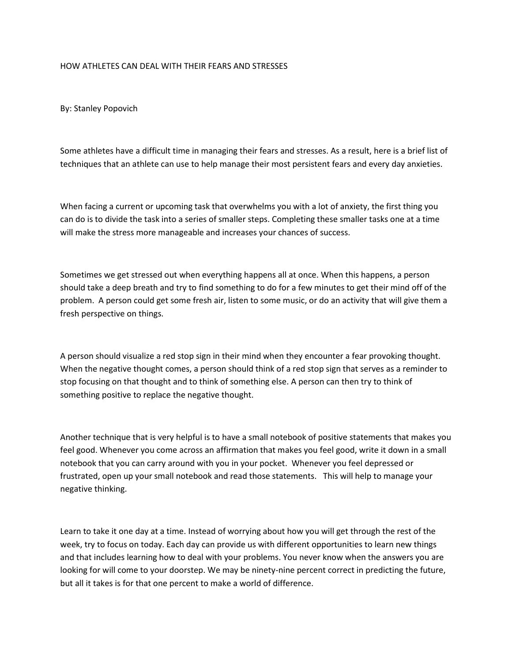## HOW ATHLETES CAN DEAL WITH THEIR FEARS AND STRESSES

By: Stanley Popovich

Some athletes have a difficult time in managing their fears and stresses. As a result, here is a brief list of techniques that an athlete can use to help manage their most persistent fears and every day anxieties.

When facing a current or upcoming task that overwhelms you with a lot of anxiety, the first thing you can do is to divide the task into a series of smaller steps. Completing these smaller tasks one at a time will make the stress more manageable and increases your chances of success.

Sometimes we get stressed out when everything happens all at once. When this happens, a person should take a deep breath and try to find something to do for a few minutes to get their mind off of the problem. A person could get some fresh air, listen to some music, or do an activity that will give them a fresh perspective on things.

A person should visualize a red stop sign in their mind when they encounter a fear provoking thought. When the negative thought comes, a person should think of a red stop sign that serves as a reminder to stop focusing on that thought and to think of something else. A person can then try to think of something positive to replace the negative thought.

Another technique that is very helpful is to have a small notebook of positive statements that makes you feel good. Whenever you come across an affirmation that makes you feel good, write it down in a small notebook that you can carry around with you in your pocket. Whenever you feel depressed or frustrated, open up your small notebook and read those statements. This will help to manage your negative thinking.

Learn to take it one day at a time. Instead of worrying about how you will get through the rest of the week, try to focus on today. Each day can provide us with different opportunities to learn new things and that includes learning how to deal with your problems. You never know when the answers you are looking for will come to your doorstep. We may be ninety-nine percent correct in predicting the future, but all it takes is for that one percent to make a world of difference.